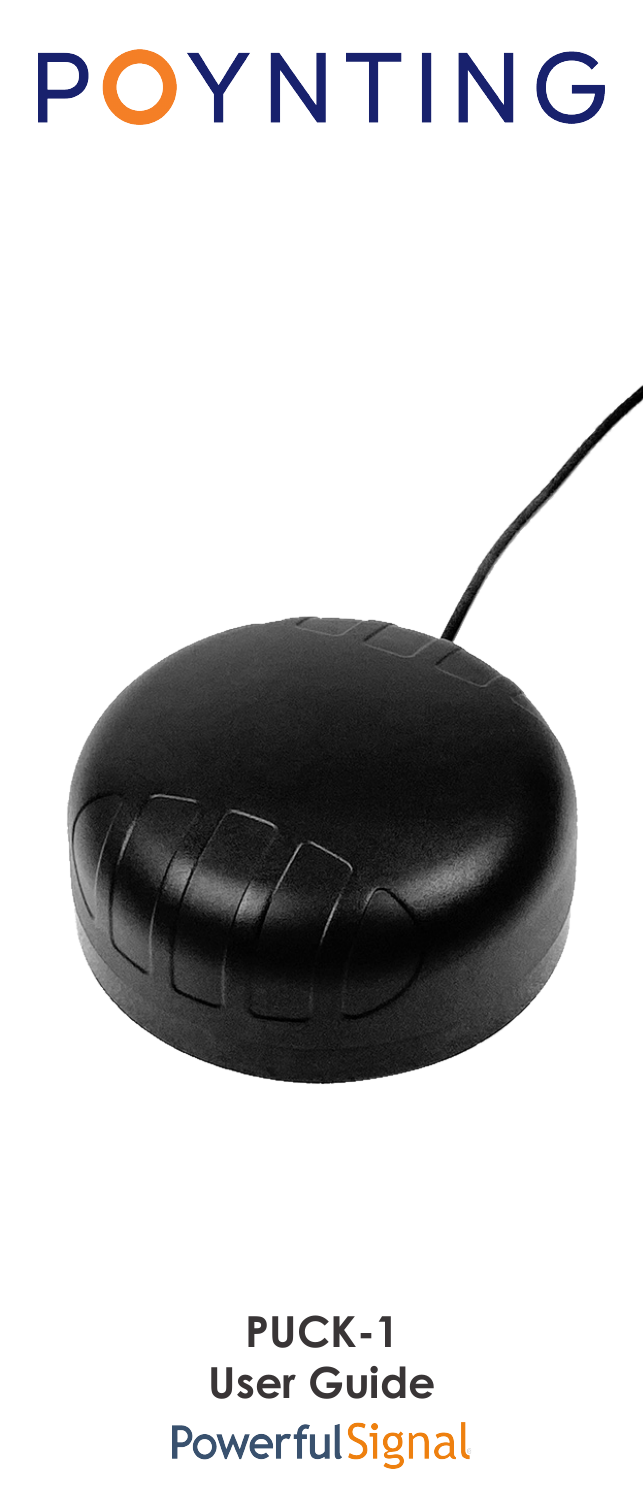# POYNTING



## **PUCK-1 User Guide**PowerfulSignal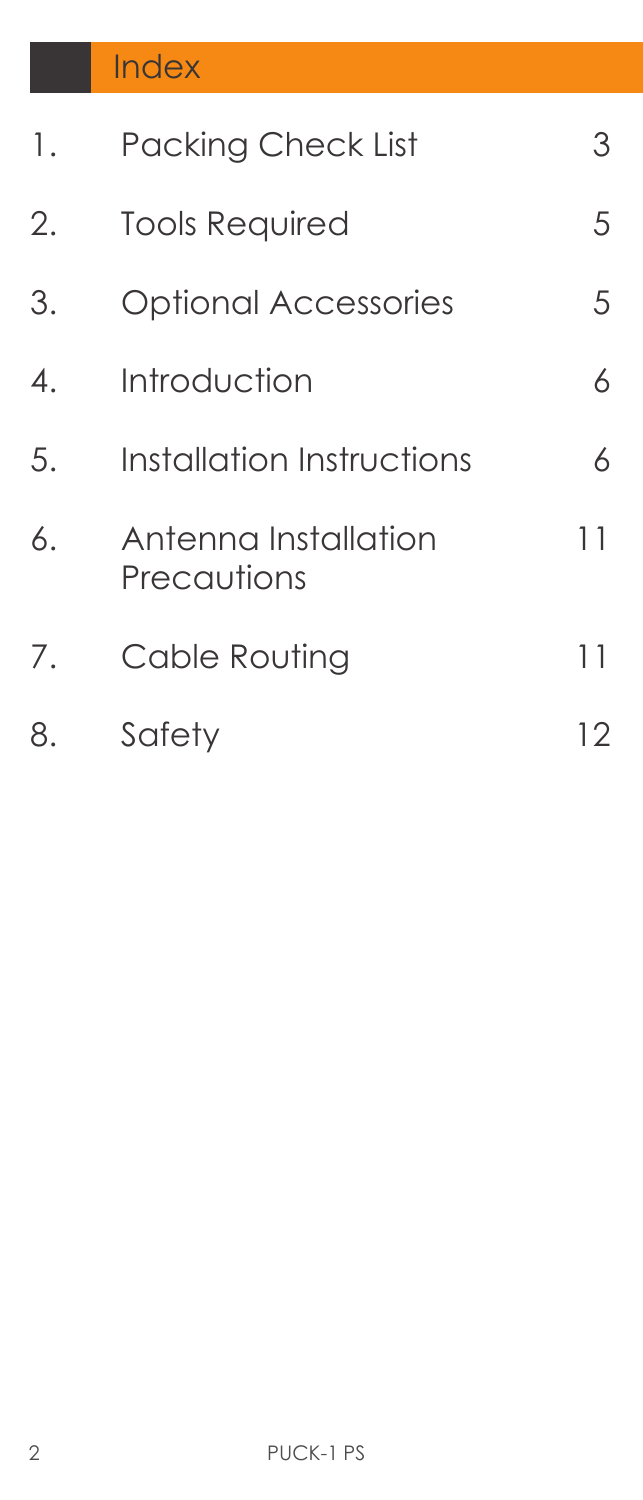| 1. | <b>Packing Check List</b>           | 3  |
|----|-------------------------------------|----|
| 2. | <b>Tools Required</b>               | 5  |
| 3. | <b>Optional Accessories</b>         | 5  |
| 4. | Introduction                        | 6  |
| 5. | Installation Instructions           | 6  |
| 6. | Antenna Installation<br>Precautions | 11 |
| 7. | Cable Routing                       | 11 |
| 8. | Safety                              | 12 |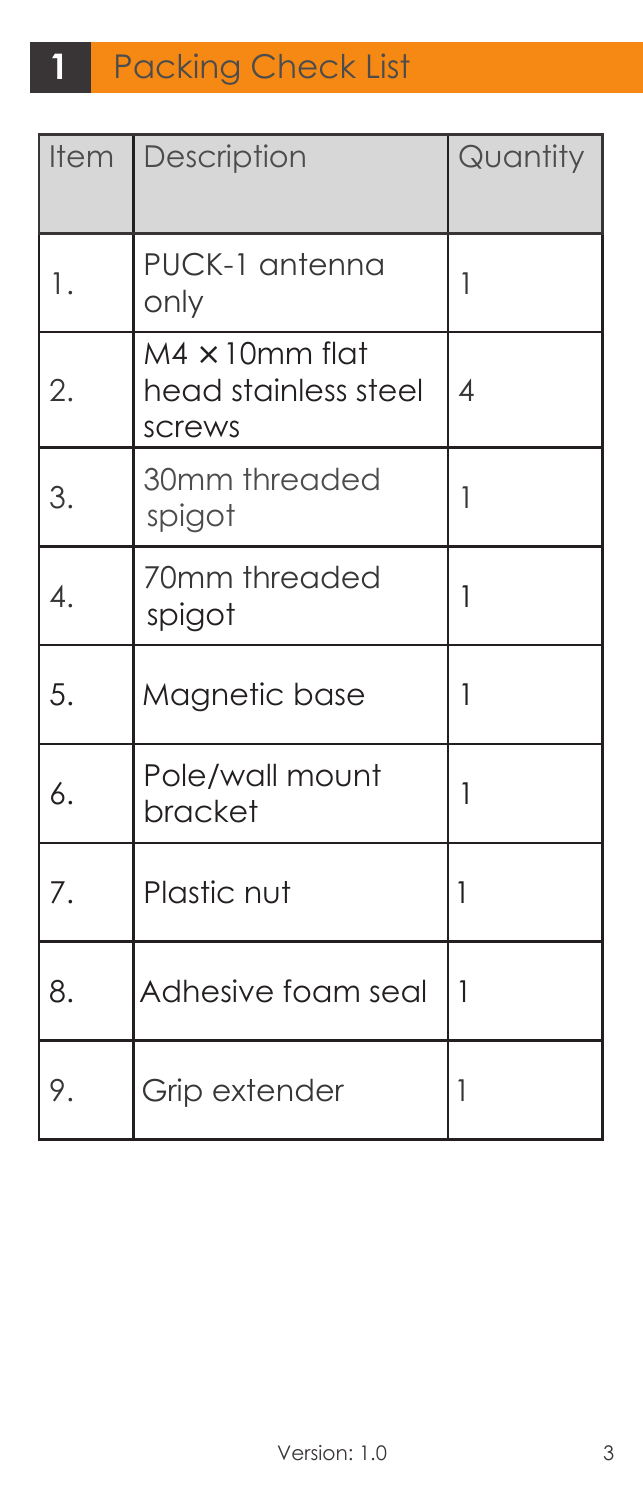| <b>Item</b> | Description                                              | Quantity                 |
|-------------|----------------------------------------------------------|--------------------------|
| 1.          | PUCK-1 antenna<br>only                                   | 1                        |
| 2.          | $M4 \times 10$ mm flat<br>head stainless steel<br>screws | $\overline{\mathcal{A}}$ |
| 3.          | 30mm threaded<br>spigot                                  | 1                        |
| 4.          | 70mm threaded<br>spigot                                  | 1                        |
| 5.          | Magnetic base                                            | 1                        |
| 6.          | Pole/wall mount<br>bracket                               | 1                        |
| 7.          | Plastic nut                                              | 1                        |
| 8.          | Adhesive foam seal                                       | 1                        |
| 9.          | Grip extender                                            | 1                        |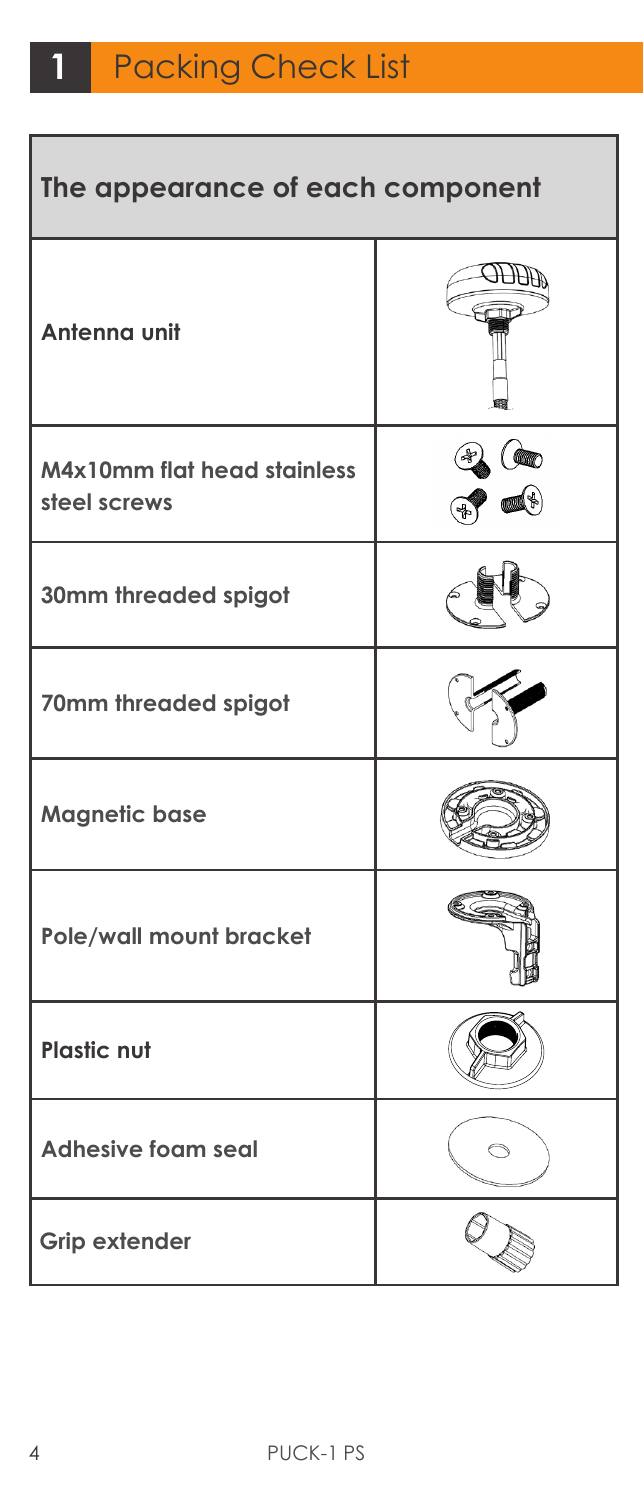ī

| The appearance of each component                   |     |  |
|----------------------------------------------------|-----|--|
| Antenna unit                                       | AHH |  |
| <b>M4x10mm flat head stainless</b><br>steel screws |     |  |
| 30mm threaded spigot                               |     |  |
| 70mm threaded spigot                               |     |  |
| <b>Magnetic base</b>                               |     |  |
| Pole/wall mount bracket                            |     |  |
| <b>Plastic nut</b>                                 |     |  |
| <b>Adhesive foam seal</b>                          |     |  |
| <b>Grip extender</b>                               |     |  |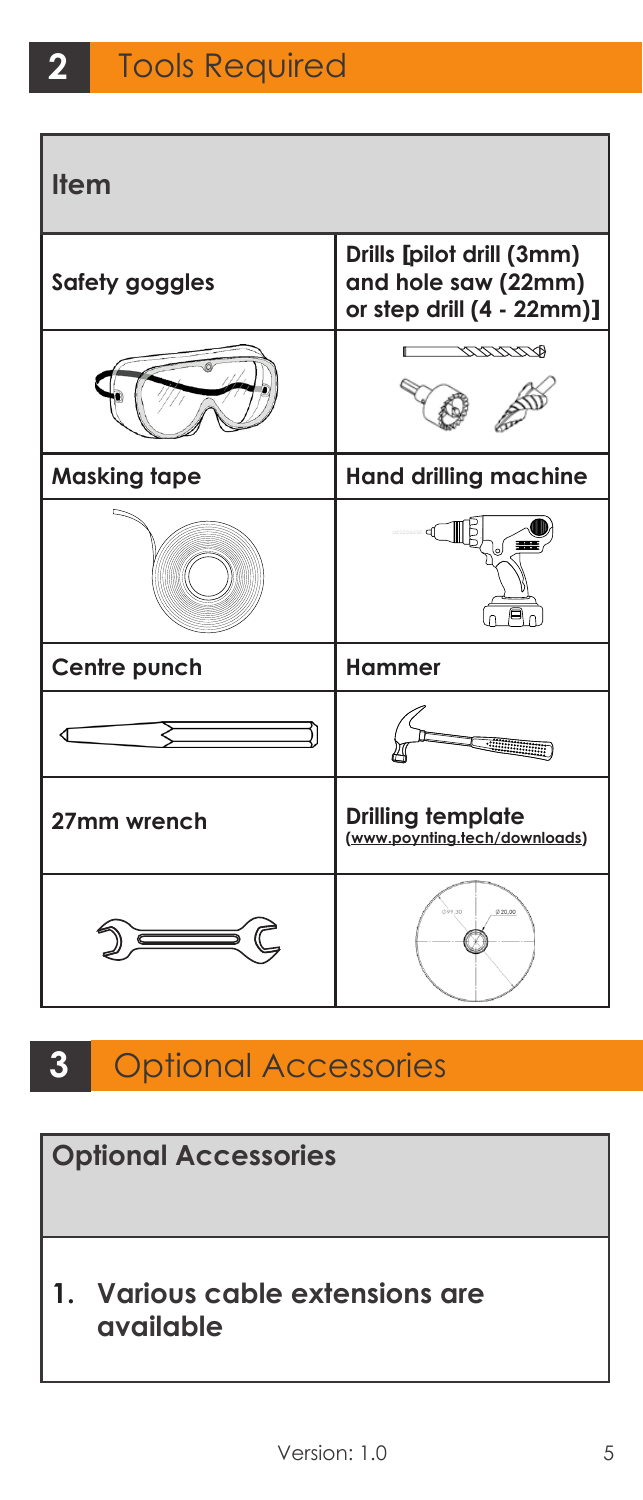| <b>Item</b>         |                                                                               |  |
|---------------------|-------------------------------------------------------------------------------|--|
| Safety goggles      | Drills [pilot drill (3mm)<br>and hole saw (22mm)<br>or step drill (4 - 22mm)] |  |
|                     | ベザグサグラ                                                                        |  |
| <b>Masking tape</b> | <b>Hand drilling machine</b>                                                  |  |
|                     |                                                                               |  |
| Centre punch        | Hammer                                                                        |  |
|                     |                                                                               |  |
| 27mm wrench         | <b>Drilling template</b><br>(www.poynting.tech/downloads)                     |  |
|                     | 020.00<br>io an                                                               |  |

**3** Optional Accessories

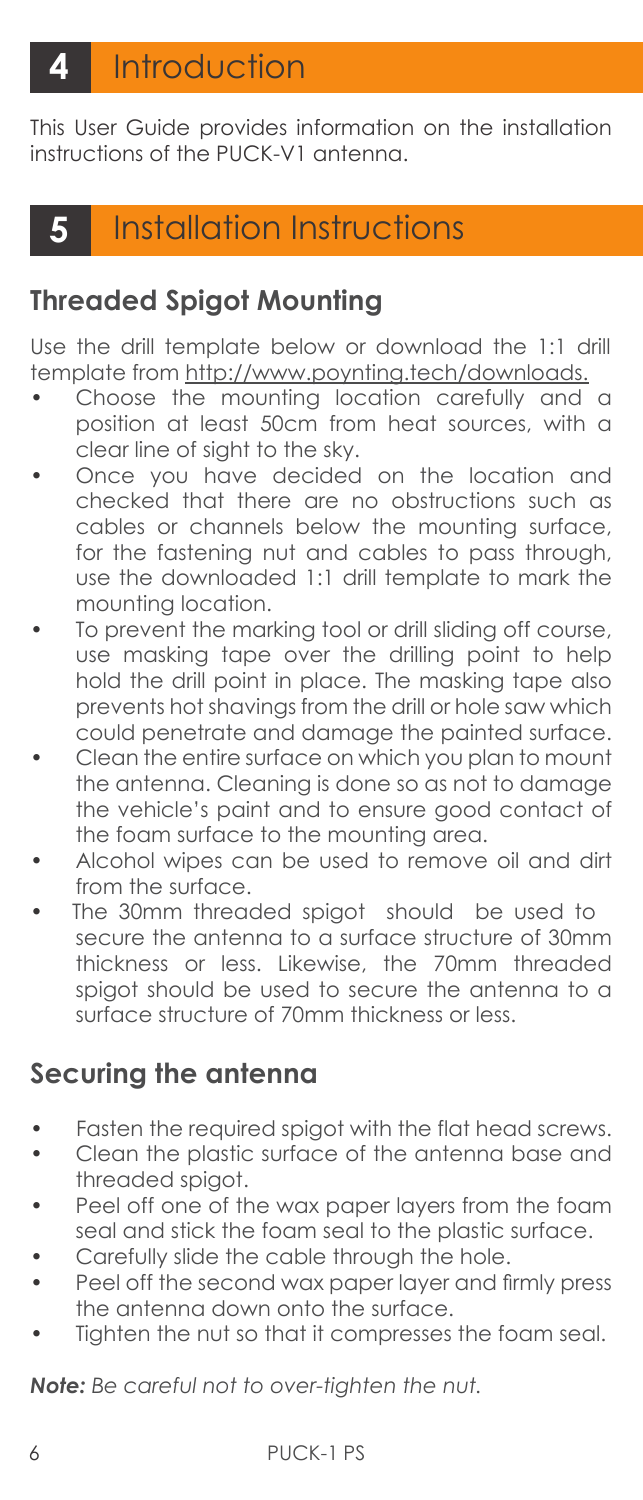This User Guide provides information on the installation instructions of the PUCK-V1 antenna.

## **5** Installation Instructions

#### **Threaded Spigot Mounting**

Use the drill template below or download the 1:1 drill template from http://www.poynting.tech/downloads.

- Choose the mounting location carefully and a position at least 50cm from heat sources, with a clear line of sight to the sky.
- Once you have decided on the location and checked that there are no obstructions such as cables or channels below the mounting surface, for the fastening nut and cables to pass through, use the downloaded 1:1 drill template to mark the mounting location.
- To prevent the marking tool or drill sliding off course, use masking tape over the drilling point to help hold the drill point in place. The masking tape also prevents hot shavings from the drill or hole saw which could penetrate and damage the painted surface.
- Clean the entire surface on which you plan to mount the antenna. Cleaning is done so as not to damage the vehicle's paint and to ensure good contact of the foam surface to the mounting area.
- Alcohol wipes can be used to remove oil and dirt from the surface.
- The 30mm threaded spigot should be used to secure the antenna to a surface structure of 30mm thickness or less. Likewise, the 70mm threaded spigot should be used to secure the antenna to a surface structure of 70mm thickness or less.

#### **Securing the antenna**

- Fasten the required spigot with the flat head screws.
- Clean the plastic surface of the antenna base and threaded spigot.
- Peel off one of the wax paper layers from the foam seal and stick the foam seal to the plastic surface.
- Carefully slide the cable through the hole.
- Peel off the second wax paper layer and firmly press the antenna down onto the surface.
- Tighten the nut so that it compresses the foam seal.

*Note: Be careful not to over-tighten the nut.*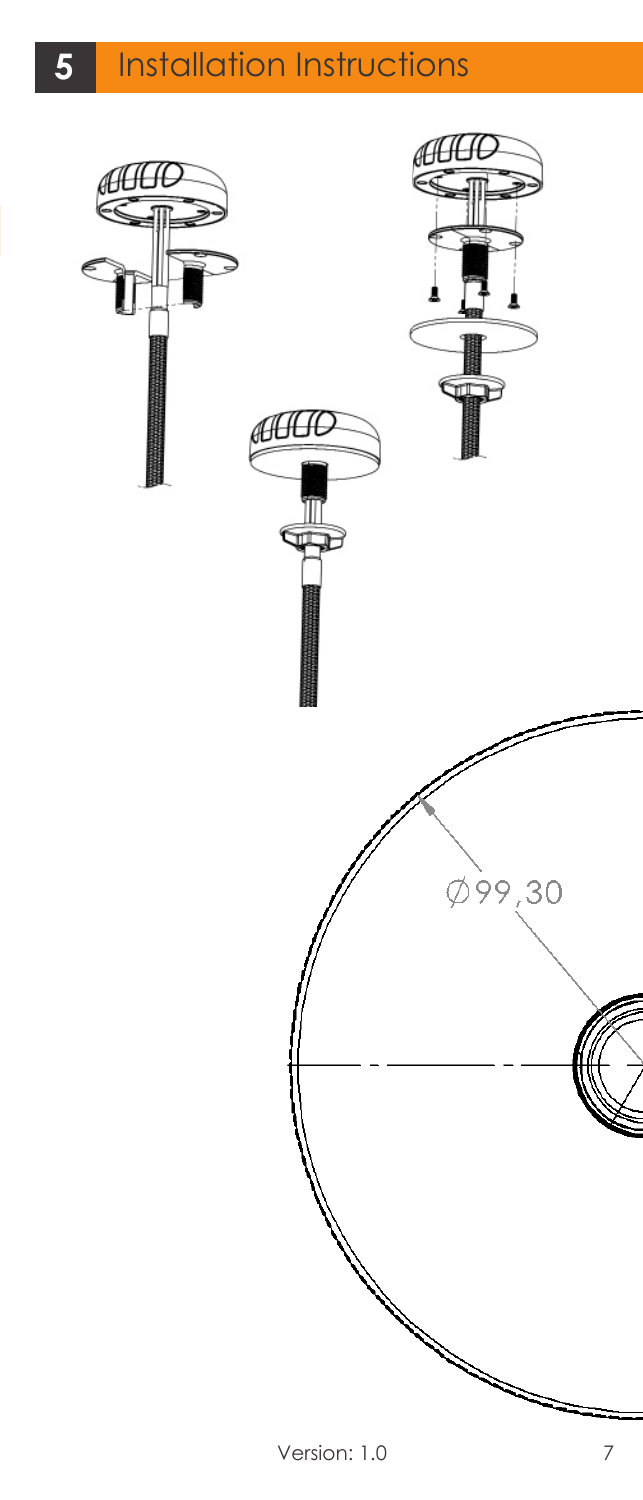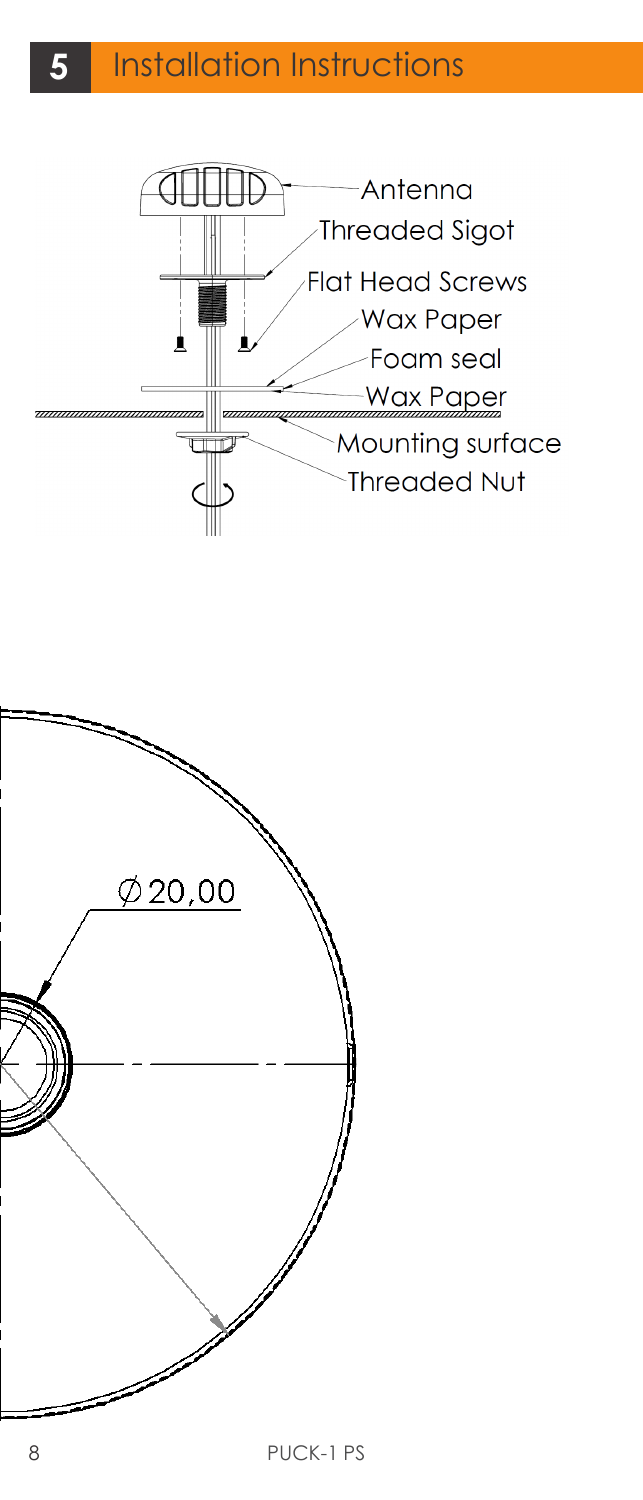

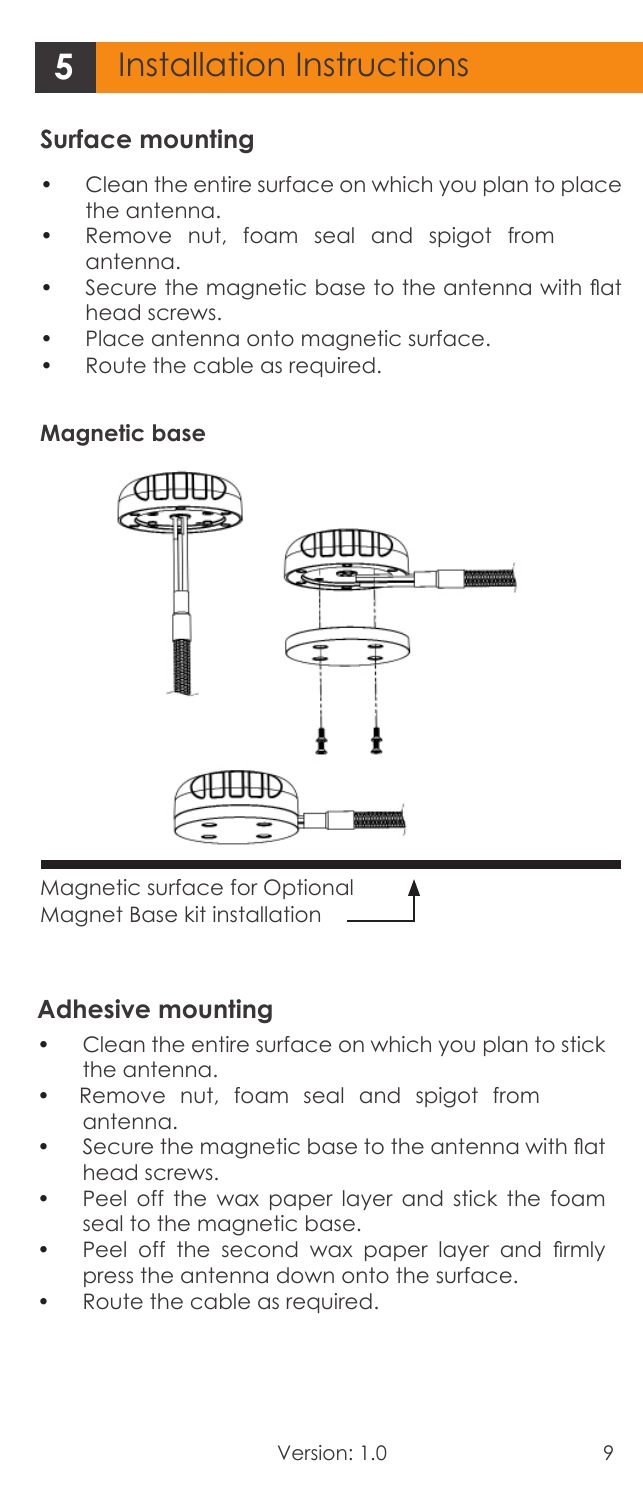#### **Surface mounting**

- Clean the entire surface on which you plan to place the antenna.
- Remove nut, foam seal and spigot from antenna.
- Secure the magnetic base to the antenna with flat head screws.
- Place antenna onto magnetic surface.
- Route the cable as required.

#### **Magnetic base**



Magnetic surface for Optional Magnet Base kit installation

#### **Adhesive mounting**

- Clean the entire surface on which you plan to stick the antenna.
- Remove nut, foam seal and spigot from antenna.
- Secure the magnetic base to the antenna with flat head screws.
- Peel off the wax paper layer and stick the foam seal to the magnetic base.
- Peel off the second wax paper layer and firmly press the antenna down onto the surface.
- Route the cable as required.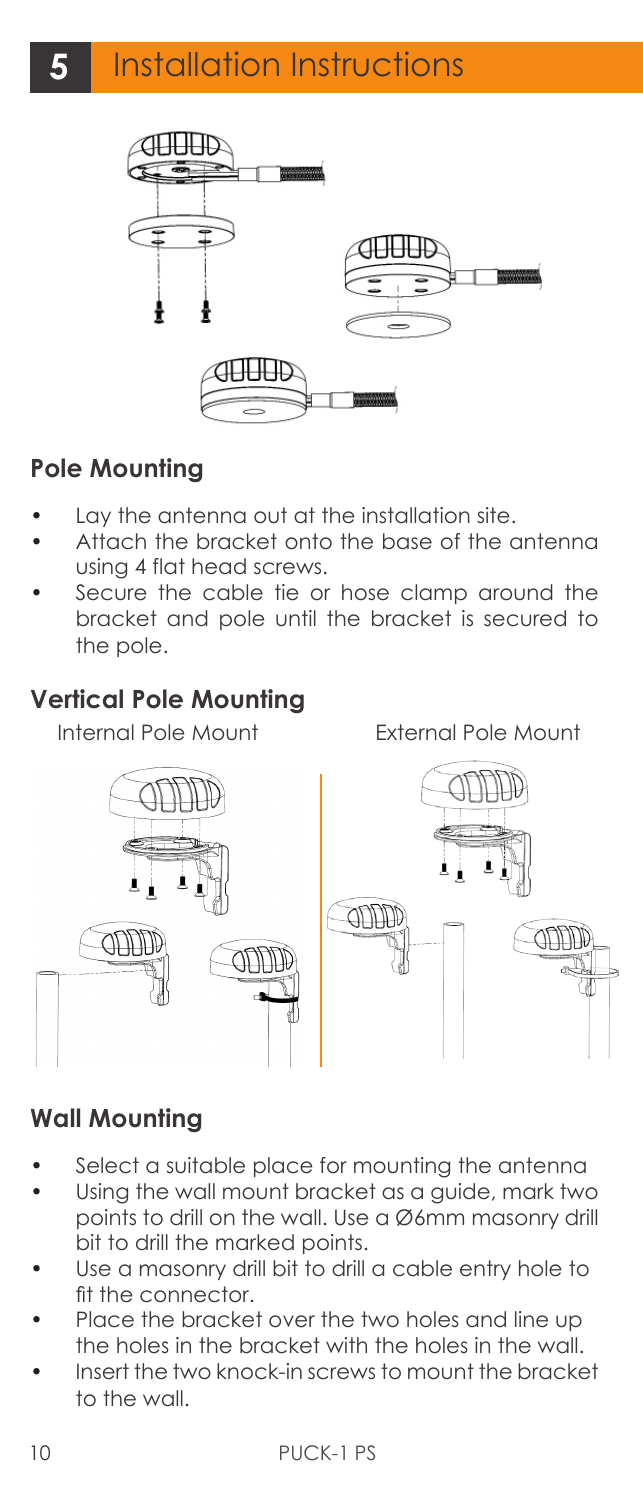

#### **Pole Mounting**

- Lay the antenna out at the installation site.
- Attach the bracket onto the base of the antenna using 4 flat head screws.
- Secure the cable tie or hose clamp around the bracket and pole until the bracket is secured to the pole.

#### **Vertical Pole Mounting**

Internal Pole Mount External Pole Mount



#### **Wall Mounting**

- Select a suitable place for mounting the antenna
- Using the wall mount bracket as a guide, mark two points to drill on the wall. Use a Ø6mm masonry drill bit to drill the marked points.
- Use a masonry drill bit to drill a cable entry hole to fit the connector.
- Place the bracket over the two holes and line up the holes in the bracket with the holes in the wall.
- Insert the two knock-in screws to mount the bracket to the wall.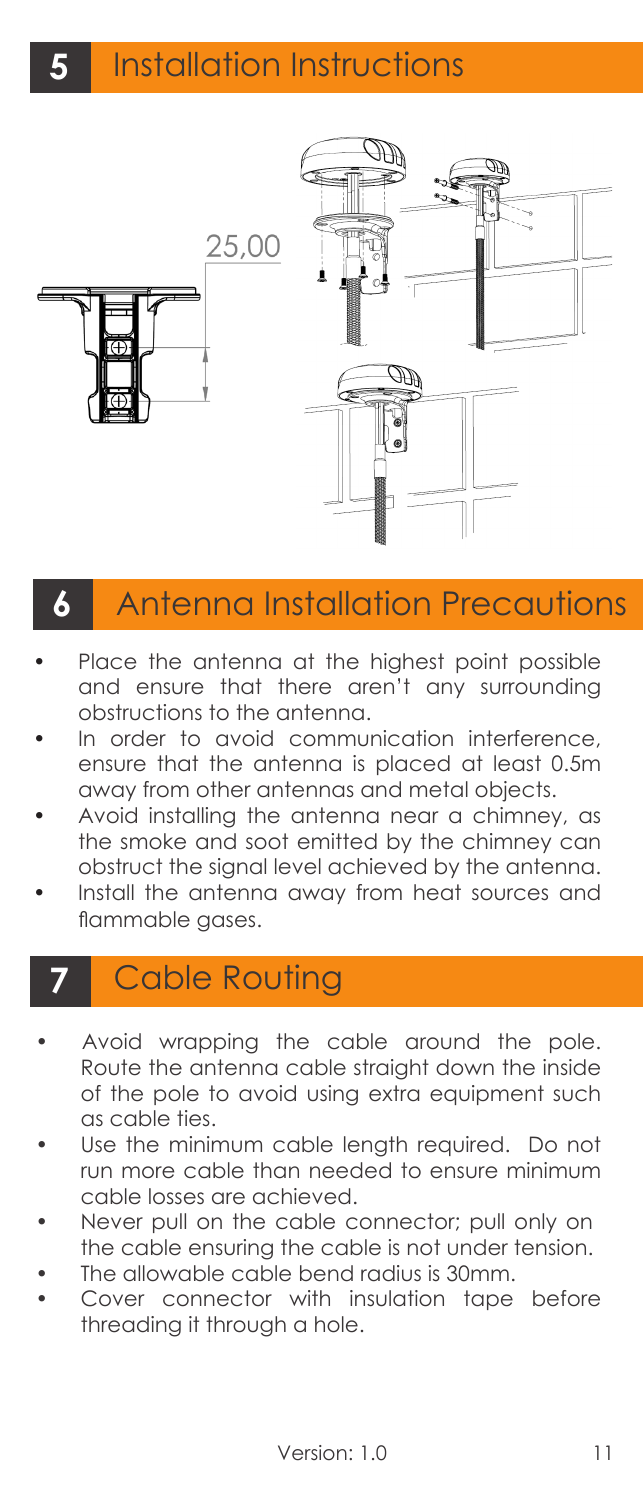

## **6** Antenna Installation Precautions

- Place the antenna at the highest point possible and ensure that there aren't any surrounding obstructions to the antenna.
- In order to avoid communication interference, ensure that the antenna is placed at least 0.5m away from other antennas and metal objects.
- Avoid installing the antenna near a chimney, as the smoke and soot emitted by the chimney can obstruct the signal level achieved by the antenna.
- Install the antenna away from heat sources and flammable gases.

### **7** Cable Routing

- Avoid wrapping the cable around the pole. Route the antenna cable straight down the inside of the pole to avoid using extra equipment such as cable ties.
- Use the minimum cable length required. Do not run more cable than needed to ensure minimum cable losses are achieved.
- Never pull on the cable connector; pull only on the cable ensuring the cable is not under tension.
- The allowable cable bend radius is 30mm.
- Cover connector with insulation tape before threading it through a hole.